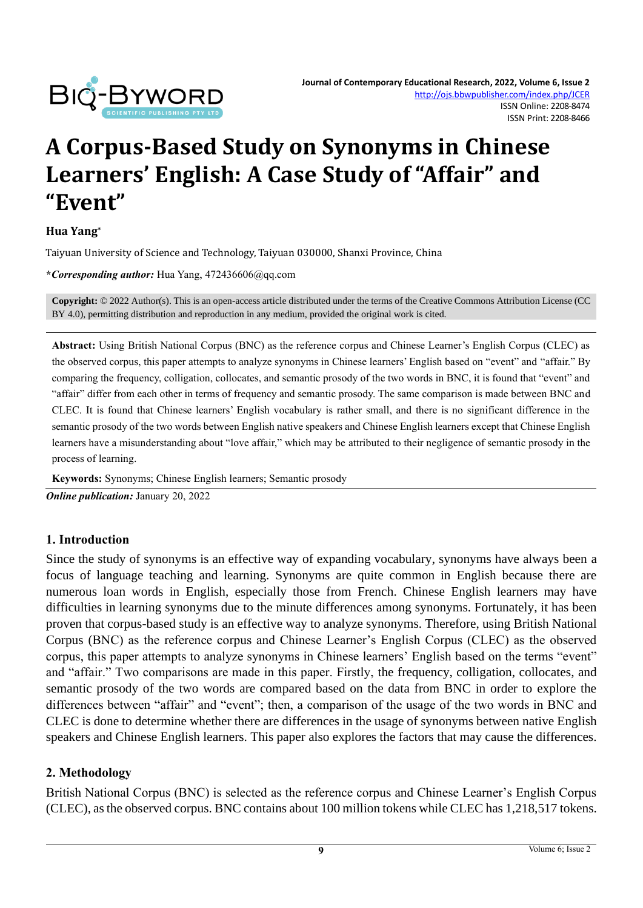

# **A Corpus-Based Study on Synonyms in Chinese Learners' English: A Case Study of "Affair" and "Event"**

#### **Hua Yang\***

Taiyuan University of Science and Technology, Taiyuan 030000, Shanxi Province, China

**\****Corresponding author:* Hua Yang, 472436606@qq.com

**Copyright:** © 2022 Author(s). This is an open-access article distributed under the terms of th[e Creative Commons Attribution License \(CC](https://creativecommons.org/licenses/by/4.0/)  [BY 4.0\),](https://creativecommons.org/licenses/by/4.0/) permitting distribution and reproduction in any medium, provided the original work is cited.

**Abstract:** Using British National Corpus (BNC) as the reference corpus and Chinese Learner's English Corpus (CLEC) as the observed corpus, this paper attempts to analyze synonyms in Chinese learners' English based on "event" and "affair." By comparing the frequency, colligation, collocates, and semantic prosody of the two words in BNC, it is found that "event" and "affair" differ from each other in terms of frequency and semantic prosody. The same comparison is made between BNC and CLEC. It is found that Chinese learners' English vocabulary is rather small, and there is no significant difference in the semantic prosody of the two words between English native speakers and Chinese English learners except that Chinese English learners have a misunderstanding about "love affair," which may be attributed to their negligence of semantic prosody in the process of learning.

**Keywords:** Synonyms; Chinese English learners; Semantic prosody

*Online publication:* January 20, 2022

#### **1. Introduction**

Since the study of synonyms is an effective way of expanding vocabulary, synonyms have always been a focus of language teaching and learning. Synonyms are quite common in English because there are numerous loan words in English, especially those from French. Chinese English learners may have difficulties in learning synonyms due to the minute differences among synonyms. Fortunately, it has been proven that corpus-based study is an effective way to analyze synonyms. Therefore, using British National Corpus (BNC) as the reference corpus and Chinese Learner's English Corpus (CLEC) as the observed corpus, this paper attempts to analyze synonyms in Chinese learners' English based on the terms "event" and "affair." Two comparisons are made in this paper. Firstly, the frequency, colligation, collocates, and semantic prosody of the two words are compared based on the data from BNC in order to explore the differences between "affair" and "event"; then, a comparison of the usage of the two words in BNC and CLEC is done to determine whether there are differences in the usage of synonyms between native English speakers and Chinese English learners. This paper also explores the factors that may cause the differences.

#### **2. Methodology**

British National Corpus (BNC) is selected as the reference corpus and Chinese Learner's English Corpus (CLEC), as the observed corpus. BNC contains about 100 million tokens while CLEC has 1,218,517 tokens.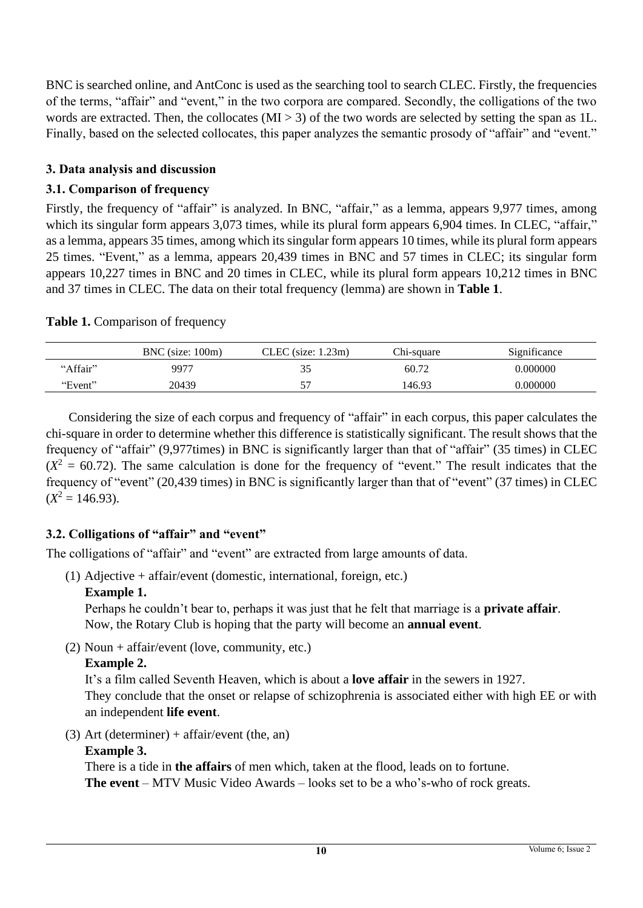BNC is searched online, and AntConc is used as the searching tool to search CLEC. Firstly, the frequencies of the terms, "affair" and "event," in the two corpora are compared. Secondly, the colligations of the two words are extracted. Then, the collocates  $(MI > 3)$  of the two words are selected by setting the span as 1L. Finally, based on the selected collocates, this paper analyzes the semantic prosody of "affair" and "event."

## **3. Data analysis and discussion**

## **3.1. Comparison of frequency**

Firstly, the frequency of "affair" is analyzed. In BNC, "affair," as a lemma, appears 9,977 times, among which its singular form appears 3,073 times, while its plural form appears 6,904 times. In CLEC, "affair," as a lemma, appears 35 times, among which its singular form appears 10 times, while its plural form appears 25 times. "Event," as a lemma, appears 20,439 times in BNC and 57 times in CLEC; its singular form appears 10,227 times in BNC and 20 times in CLEC, while its plural form appears 10,212 times in BNC and 37 times in CLEC. The data on their total frequency (lemma) are shown in **Table 1**.

#### Table 1. Comparison of frequency

|          | $BNC$ (size: $100m$ ) | CLEC (size: 1.23m) | Chi-sauare | Significance |
|----------|-----------------------|--------------------|------------|--------------|
| "Affair" | 9977                  |                    | 60.72      | 0.000000     |
| "Event"  | 20439                 |                    | 146.93     | 0.000000     |

Considering the size of each corpus and frequency of "affair" in each corpus, this paper calculates the chi-square in order to determine whether this difference is statistically significant. The result shows that the frequency of "affair" (9,977times) in BNC is significantly larger than that of "affair" (35 times) in CLEC  $(X^2 = 60.72)$ . The same calculation is done for the frequency of "event." The result indicates that the frequency of "event" (20,439 times) in BNC is significantly larger than that of "event" (37 times) in CLEC  $(X^2 = 146.93)$ .

## **3.2. Colligations of "affair" and "event"**

The colligations of "affair" and "event" are extracted from large amounts of data.

(1) Adjective + affair/event (domestic, international, foreign, etc.)

#### **Example 1.**

Perhaps he couldn't bear to, perhaps it was just that he felt that marriage is a **private affair**. Now, the Rotary Club is hoping that the party will become an **annual event**.

(2) Noun + affair/event (love, community, etc.)

## **Example 2.**

It's a film called Seventh Heaven, which is about a **love affair** in the sewers in 1927. They conclude that the onset or relapse of schizophrenia is associated either with high EE or with an independent **life event**.

(3) Art (determiner) + affair/event (the, an)

#### **Example 3.**

There is a tide in **the affairs** of men which, taken at the flood, leads on to fortune. **The event** – MTV Music Video Awards – looks set to be a who's-who of rock greats.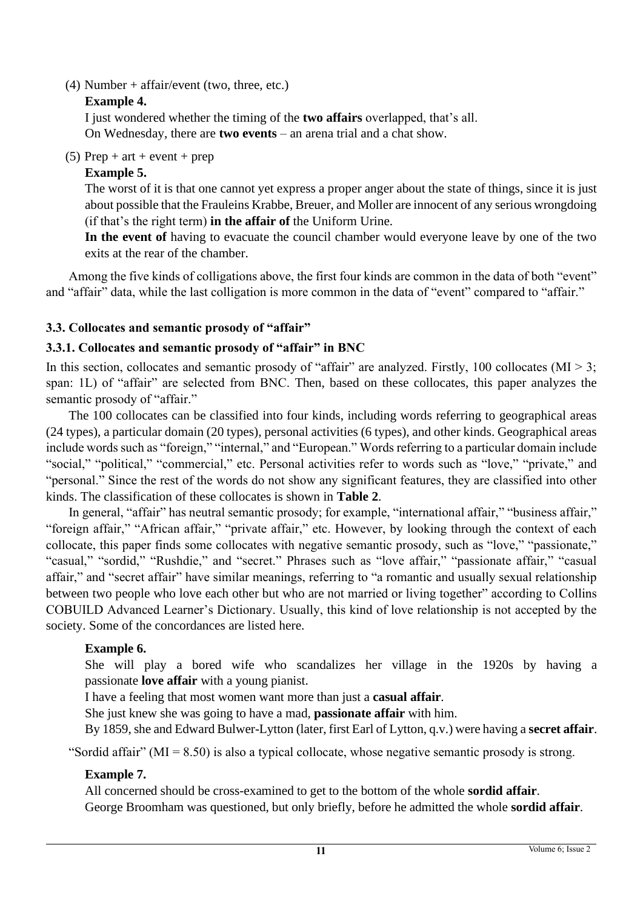(4) Number + affair/event (two, three, etc.)

#### **Example 4.**

I just wondered whether the timing of the **two affairs** overlapped, that's all. On Wednesday, there are **two events** – an arena trial and a chat show.

(5) Prep + art + event + prep

## **Example 5.**

The worst of it is that one cannot yet express a proper anger about the state of things, since it is just about possible that the Frauleins Krabbe, Breuer, and Moller are innocent of any serious wrongdoing (if that's the right term) **in the affair of** the Uniform Urine.

**In the event of** having to evacuate the council chamber would everyone leave by one of the two exits at the rear of the chamber.

Among the five kinds of colligations above, the first four kinds are common in the data of both "event" and "affair" data, while the last colligation is more common in the data of "event" compared to "affair."

## **3.3. Collocates and semantic prosody of "affair"**

## **3.3.1. Collocates and semantic prosody of "affair" in BNC**

In this section, collocates and semantic prosody of "affair" are analyzed. Firstly, 100 collocates ( $MI > 3$ ; span: 1L) of "affair" are selected from BNC. Then, based on these collocates, this paper analyzes the semantic prosody of "affair."

The 100 collocates can be classified into four kinds, including words referring to geographical areas (24 types), a particular domain (20 types), personal activities (6 types), and other kinds. Geographical areas include words such as "foreign," "internal," and "European." Words referring to a particular domain include "social," "political," "commercial," etc. Personal activities refer to words such as "love," "private," and "personal." Since the rest of the words do not show any significant features, they are classified into other kinds. The classification of these collocates is shown in **Table 2**.

In general, "affair" has neutral semantic prosody; for example, "international affair," "business affair," "foreign affair," "African affair," "private affair," etc. However, by looking through the context of each collocate, this paper finds some collocates with negative semantic prosody, such as "love," "passionate," "casual," "sordid," "Rushdie," and "secret." Phrases such as "love affair," "passionate affair," "casual affair," and "secret affair" have similar meanings, referring to "a romantic and usually sexual relationship between two people who love each other but who are not married or living together" according to Collins COBUILD Advanced Learner's Dictionary. Usually, this kind of love relationship is not accepted by the society. Some of the concordances are listed here.

## **Example 6.**

She will play a bored wife who scandalizes her village in the 1920s by having a passionate **love affair** with a young pianist.

I have a feeling that most women want more than just a **casual affair**.

She just knew she was going to have a mad, **passionate affair** with him.

By 1859, she and Edward Bulwer-Lytton (later, first Earl of Lytton, q.v.) were having a **secret affair**.

"Sordid affair" ( $MI = 8.50$ ) is also a typical collocate, whose negative semantic prosody is strong.

## **Example 7.**

All concerned should be cross-examined to get to the bottom of the whole **sordid affair**. George Broomham was questioned, but only briefly, before he admitted the whole **sordid affair**.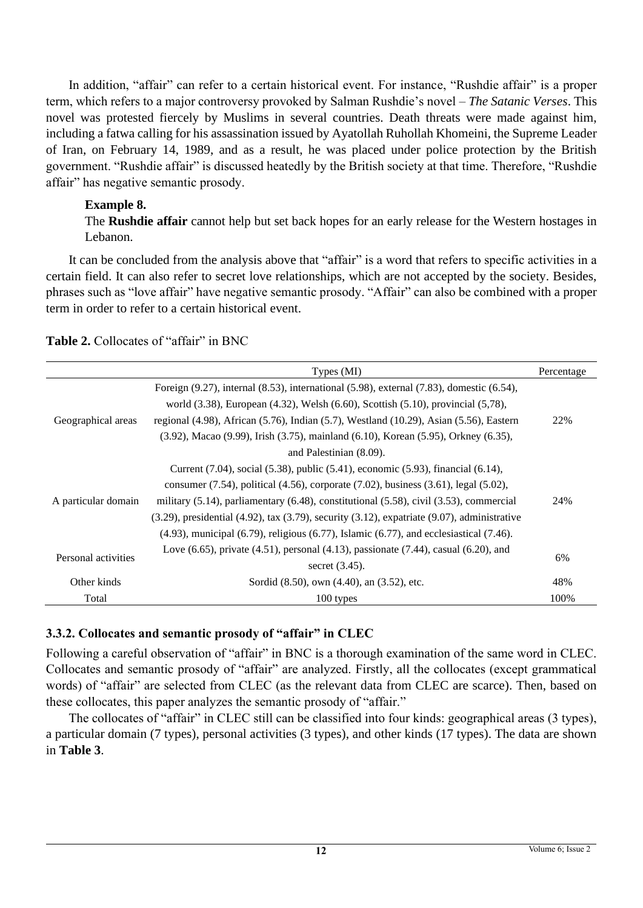In addition, "affair" can refer to a certain historical event. For instance, "Rushdie affair" is a proper term, which refers to a major controversy provoked by Salman Rushdie's novel – *The Satanic Verses*. This novel was protested fiercely by Muslims in several countries. Death threats were made against him, including a fatwa calling for his assassination issued by Ayatollah Ruhollah Khomeini, the Supreme Leader of Iran, on February 14, 1989, and as a result, he was placed under police protection by the British government. "Rushdie affair" is discussed heatedly by the British society at that time. Therefore, "Rushdie affair" has negative semantic prosody.

#### **Example 8.**

The **Rushdie affair** cannot help but set back hopes for an early release for the Western hostages in Lebanon.

It can be concluded from the analysis above that "affair" is a word that refers to specific activities in a certain field. It can also refer to secret love relationships, which are not accepted by the society. Besides, phrases such as "love affair" have negative semantic prosody. "Affair" can also be combined with a proper term in order to refer to a certain historical event.

|                     | Types (MI)                                                                                                              | Percentage |             |                                            |
|---------------------|-------------------------------------------------------------------------------------------------------------------------|------------|-------------|--------------------------------------------|
|                     | Foreign $(9.27)$ , internal $(8.53)$ , international $(5.98)$ , external $(7.83)$ , domestic $(6.54)$ ,                 |            |             |                                            |
| Geographical areas  | world (3.38), European (4.32), Welsh (6.60), Scottish (5.10), provincial (5,78),                                        |            |             |                                            |
|                     | regional $(4.98)$ , African $(5.76)$ , Indian $(5.7)$ , Westland $(10.29)$ , Asian $(5.56)$ , Eastern                   |            |             |                                            |
|                     | $(3.92)$ , Macao $(9.99)$ , Irish $(3.75)$ , mainland $(6.10)$ , Korean $(5.95)$ , Orkney $(6.35)$ ,                    |            |             |                                            |
|                     | and Palestinian (8.09).                                                                                                 |            |             |                                            |
|                     | Current (7.04), social (5.38), public (5.41), economic (5.93), financial (6.14),                                        |            |             |                                            |
|                     | consumer $(7.54)$ , political $(4.56)$ , corporate $(7.02)$ , business $(3.61)$ , legal $(5.02)$ ,                      |            |             |                                            |
| A particular domain | military $(5.14)$ , parliamentary $(6.48)$ , constitutional $(5.58)$ , civil $(3.53)$ , commercial                      |            |             |                                            |
|                     | $(3.29)$ , presidential $(4.92)$ , tax $(3.79)$ , security $(3.12)$ , expatriate $(9.07)$ , administrative              |            |             |                                            |
|                     | $(4.93)$ , municipal $(6.79)$ , religious $(6.77)$ , Islamic $(6.77)$ , and ecclesiastical $(7.46)$ .                   |            |             |                                            |
| Personal activities | Love $(6.65)$ , private $(4.51)$ , personal $(4.13)$ , passionate $(7.44)$ , casual $(6.20)$ , and<br>secret $(3.45)$ . |            |             |                                            |
|                     |                                                                                                                         |            | Other kinds | Sordid (8.50), own (4.40), an (3.52), etc. |
| Total               | 100 types                                                                                                               | 100%       |             |                                            |

**Table 2.** Collocates of "affair" in BNC

## **3.3.2. Collocates and semantic prosody of "affair" in CLEC**

Following a careful observation of "affair" in BNC is a thorough examination of the same word in CLEC. Collocates and semantic prosody of "affair" are analyzed. Firstly, all the collocates (except grammatical words) of "affair" are selected from CLEC (as the relevant data from CLEC are scarce). Then, based on these collocates, this paper analyzes the semantic prosody of "affair."

The collocates of "affair" in CLEC still can be classified into four kinds: geographical areas (3 types), a particular domain (7 types), personal activities (3 types), and other kinds (17 types). The data are shown in **Table 3**.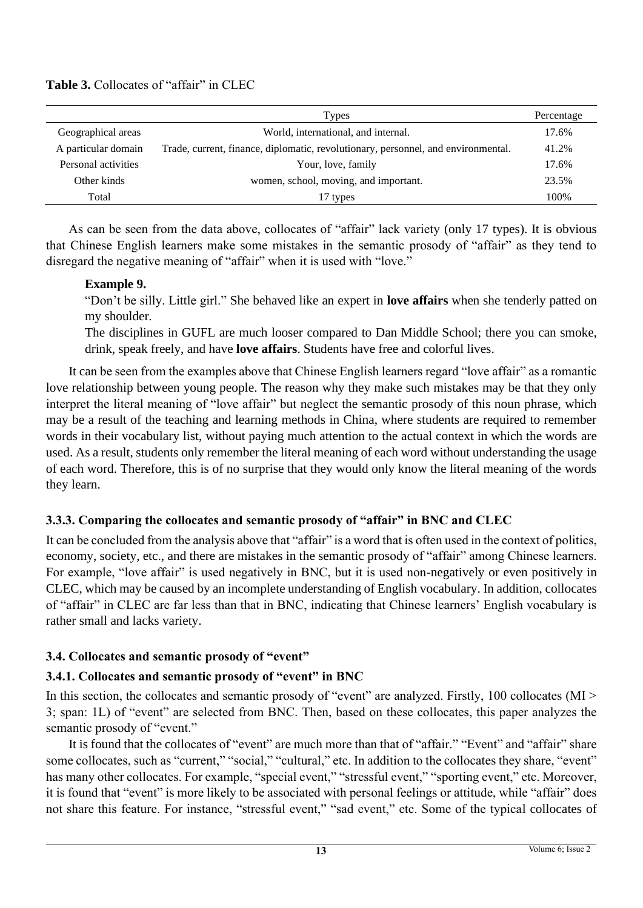## **Table 3.** Collocates of "affair" in CLEC

|                     | Types                                                                             | Percentage |
|---------------------|-----------------------------------------------------------------------------------|------------|
| Geographical areas  | World, international, and internal.                                               | 17.6%      |
| A particular domain | Trade, current, finance, diplomatic, revolutionary, personnel, and environmental. | 41.2%      |
| Personal activities | Your, love, family                                                                | 17.6%      |
| Other kinds         | women, school, moving, and important.                                             | 23.5%      |
| Total               | 17 types                                                                          | 100%       |

As can be seen from the data above, collocates of "affair" lack variety (only 17 types). It is obvious that Chinese English learners make some mistakes in the semantic prosody of "affair" as they tend to disregard the negative meaning of "affair" when it is used with "love."

#### **Example 9.**

"Don't be silly. Little girl." She behaved like an expert in **love affairs** when she tenderly patted on my shoulder.

The disciplines in GUFL are much looser compared to Dan Middle School; there you can smoke, drink, speak freely, and have **love affairs**. Students have free and colorful lives.

It can be seen from the examples above that Chinese English learners regard "love affair" as a romantic love relationship between young people. The reason why they make such mistakes may be that they only interpret the literal meaning of "love affair" but neglect the semantic prosody of this noun phrase, which may be a result of the teaching and learning methods in China, where students are required to remember words in their vocabulary list, without paying much attention to the actual context in which the words are used. As a result, students only remember the literal meaning of each word without understanding the usage of each word. Therefore, this is of no surprise that they would only know the literal meaning of the words they learn.

#### **3.3.3. Comparing the collocates and semantic prosody of "affair" in BNC and CLEC**

It can be concluded from the analysis above that "affair" is a word that is often used in the context of politics, economy, society, etc., and there are mistakes in the semantic prosody of "affair" among Chinese learners. For example, "love affair" is used negatively in BNC, but it is used non-negatively or even positively in CLEC, which may be caused by an incomplete understanding of English vocabulary. In addition, collocates of "affair" in CLEC are far less than that in BNC, indicating that Chinese learners' English vocabulary is rather small and lacks variety.

#### **3.4. Collocates and semantic prosody of "event"**

#### **3.4.1. Collocates and semantic prosody of "event" in BNC**

In this section, the collocates and semantic prosody of "event" are analyzed. Firstly, 100 collocates (MI > 3; span: 1L) of "event" are selected from BNC. Then, based on these collocates, this paper analyzes the semantic prosody of "event."

It is found that the collocates of "event" are much more than that of "affair." "Event" and "affair" share some collocates, such as "current," "social," "cultural," etc. In addition to the collocates they share, "event" has many other collocates. For example, "special event," "stressful event," "sporting event," etc. Moreover, it is found that "event" is more likely to be associated with personal feelings or attitude, while "affair" does not share this feature. For instance, "stressful event," "sad event," etc. Some of the typical collocates of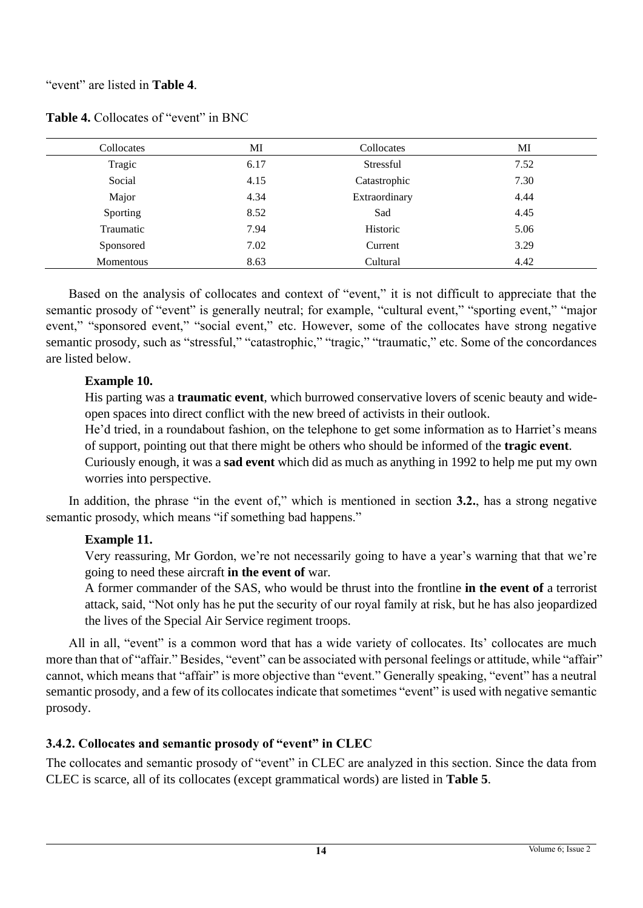#### "event" are listed in **Table 4**.

| Collocates       | MI   | Collocates    | MI   |
|------------------|------|---------------|------|
| Tragic           | 6.17 | Stressful     | 7.52 |
| Social           | 4.15 | Catastrophic  | 7.30 |
| Major            | 4.34 | Extraordinary | 4.44 |
| Sporting         | 8.52 | Sad           | 4.45 |
| Traumatic        | 7.94 | Historic      | 5.06 |
| Sponsored        | 7.02 | Current       | 3.29 |
| <b>Momentous</b> | 8.63 | Cultural      | 4.42 |

Table 4. Collocates of "event" in BNC

Based on the analysis of collocates and context of "event," it is not difficult to appreciate that the semantic prosody of "event" is generally neutral; for example, "cultural event," "sporting event," "major event," "sponsored event," "social event," etc. However, some of the collocates have strong negative semantic prosody, such as "stressful," "catastrophic," "tragic," "traumatic," etc. Some of the concordances are listed below.

#### **Example 10.**

His parting was a **traumatic event**, which burrowed conservative lovers of scenic beauty and wideopen spaces into direct conflict with the new breed of activists in their outlook.

He'd tried, in a roundabout fashion, on the telephone to get some information as to Harriet's means of support, pointing out that there might be others who should be informed of the **tragic event**.

Curiously enough, it was a **sad event** which did as much as anything in 1992 to help me put my own worries into perspective.

In addition, the phrase "in the event of," which is mentioned in section **3.2.**, has a strong negative semantic prosody, which means "if something bad happens."

## **Example 11.**

Very reassuring, Mr Gordon, we're not necessarily going to have a year's warning that that we're going to need these aircraft **in the event of** war.

A former commander of the SAS, who would be thrust into the frontline **in the event of** a terrorist attack, said, "Not only has he put the security of our royal family at risk, but he has also jeopardized the lives of the Special Air Service regiment troops.

All in all, "event" is a common word that has a wide variety of collocates. Its' collocates are much more than that of "affair." Besides, "event" can be associated with personal feelings or attitude, while "affair" cannot, which means that "affair" is more objective than "event." Generally speaking, "event" has a neutral semantic prosody, and a few of its collocates indicate that sometimes "event" is used with negative semantic prosody.

## **3.4.2. Collocates and semantic prosody of "event" in CLEC**

The collocates and semantic prosody of "event" in CLEC are analyzed in this section. Since the data from CLEC is scarce, all of its collocates (except grammatical words) are listed in **Table 5**.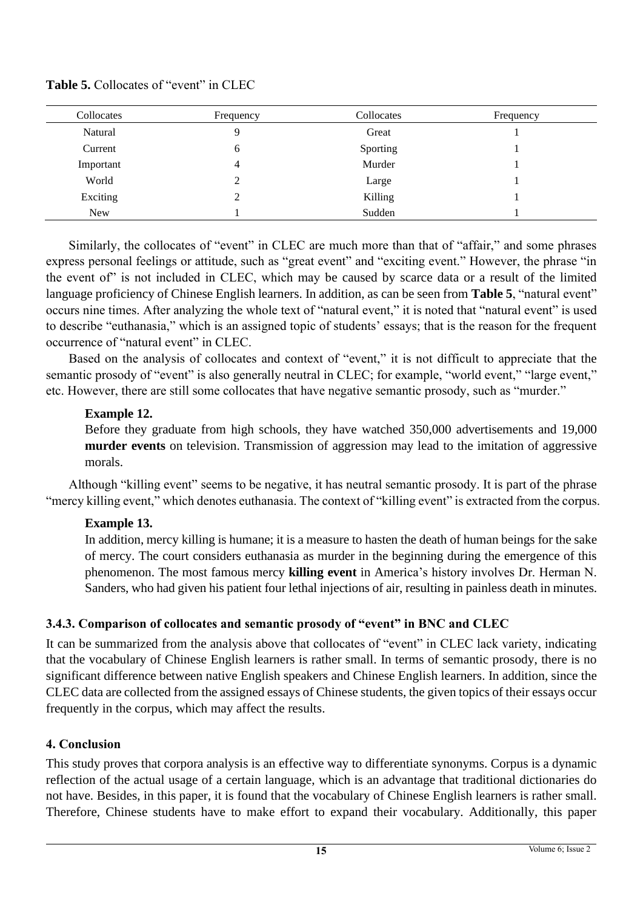| Collocates | Frequency | Collocates | Frequency |
|------------|-----------|------------|-----------|
| Natural    | Q         | Great      |           |
| Current    | 6         | Sporting   |           |
| Important  | 4         | Murder     |           |
| World      | 2         | Large      |           |
| Exciting   | 2         | Killing    |           |
| <b>New</b> |           | Sudden     |           |

**Table 5.** Collocates of "event" in CLEC

Similarly, the collocates of "event" in CLEC are much more than that of "affair," and some phrases express personal feelings or attitude, such as "great event" and "exciting event." However, the phrase "in the event of" is not included in CLEC, which may be caused by scarce data or a result of the limited language proficiency of Chinese English learners. In addition, as can be seen from **Table 5**, "natural event" occurs nine times. After analyzing the whole text of "natural event," it is noted that "natural event" is used to describe "euthanasia," which is an assigned topic of students' essays; that is the reason for the frequent occurrence of "natural event" in CLEC.

Based on the analysis of collocates and context of "event," it is not difficult to appreciate that the semantic prosody of "event" is also generally neutral in CLEC; for example, "world event," "large event," etc. However, there are still some collocates that have negative semantic prosody, such as "murder."

### **Example 12.**

Before they graduate from high schools, they have watched 350,000 advertisements and 19,000 **murder events** on television. Transmission of aggression may lead to the imitation of aggressive morals.

Although "killing event" seems to be negative, it has neutral semantic prosody. It is part of the phrase "mercy killing event," which denotes euthanasia. The context of "killing event" is extracted from the corpus.

## **Example 13.**

In addition, mercy killing is humane; it is a measure to hasten the death of human beings for the sake of mercy. The court considers euthanasia as murder in the beginning during the emergence of this phenomenon. The most famous mercy **killing event** in America's history involves Dr. Herman N. Sanders, who had given his patient four lethal injections of air, resulting in painless death in minutes.

## **3.4.3. Comparison of collocates and semantic prosody of "event" in BNC and CLEC**

It can be summarized from the analysis above that collocates of "event" in CLEC lack variety, indicating that the vocabulary of Chinese English learners is rather small. In terms of semantic prosody, there is no significant difference between native English speakers and Chinese English learners. In addition, since the CLEC data are collected from the assigned essays of Chinese students, the given topics of their essays occur frequently in the corpus, which may affect the results.

## **4. Conclusion**

This study proves that corpora analysis is an effective way to differentiate synonyms. Corpus is a dynamic reflection of the actual usage of a certain language, which is an advantage that traditional dictionaries do not have. Besides, in this paper, it is found that the vocabulary of Chinese English learners is rather small. Therefore, Chinese students have to make effort to expand their vocabulary. Additionally, this paper